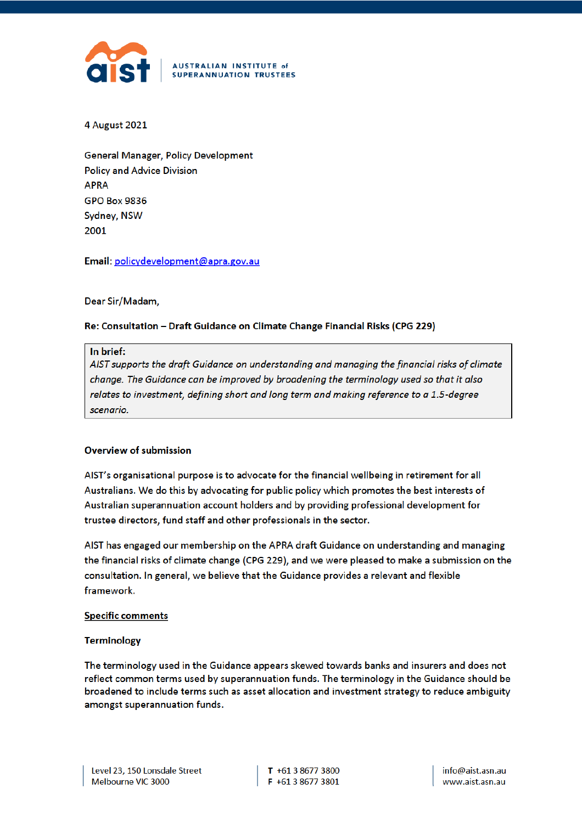

4 August 2021

**General Manager, Policy Development Policy and Advice Division APRA GPO Box 9836** Sydney, NSW 2001

Email: policydevelopment@apra.gov.au

Dear Sir/Madam,

# Re: Consultation - Draft Guidance on Climate Change Financial Risks (CPG 229)

### In brief:

AIST supports the draft Guidance on understanding and managing the financial risks of climate change. The Guidance can be improved by broadening the terminology used so that it also relates to investment, defining short and long term and making reference to a 1.5-degree scenario.

# **Overview of submission**

AIST's organisational purpose is to advocate for the financial wellbeing in retirement for all Australians. We do this by advocating for public policy which promotes the best interests of Australian superannuation account holders and by providing professional development for trustee directors, fund staff and other professionals in the sector.

AIST has engaged our membership on the APRA draft Guidance on understanding and managing the financial risks of climate change (CPG 229), and we were pleased to make a submission on the consultation. In general, we believe that the Guidance provides a relevant and flexible framework.

### **Specific comments**

### **Terminology**

The terminology used in the Guidance appears skewed towards banks and insurers and does not reflect common terms used by superannuation funds. The terminology in the Guidance should be broadened to include terms such as asset allocation and investment strategy to reduce ambiguity amongst superannuation funds.